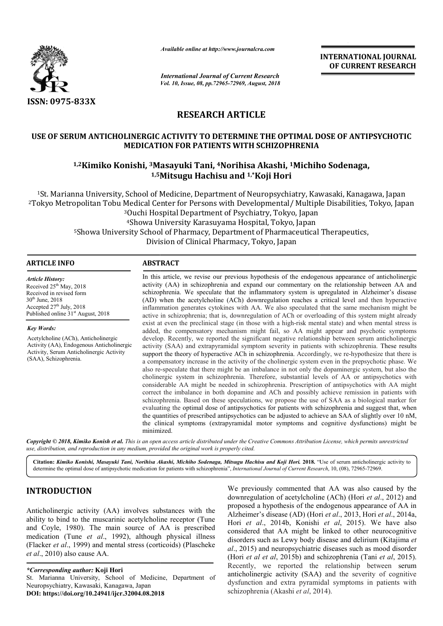

*Available online at http://www.journalcra.com*

# **RESEARCH ARTICLE**

#### **USE OF SERUM ANTICHOLINERGIC ACTIVITY TO DETERMINE THE OPTIMAL DOSE OF ANTIPSYCHOTIC MEDICATION FOR PATIENTS WITH SCHIZOPHRENIA**

## <sup>1,2</sup>Kimiko Konishi, <sup>3</sup>Masayuki Tani, <sup>4</sup>Norihisa Akashi, <sup>1</sup>Michiho Sodenaga, **1,5Mitsugu Hachisu Mitsugu and 1,\*Koji Hori**

|                                                                                                                                                                                                                                                                                                                                                                                                                                                                                                                                   |                                                                                                                                                                                                                                                                                                                                                                                                                                                                                                                                                                                                                                                                                                                                                                                                                                                                                                                                                                                                                                                                                                                                                                                                                                                                                                                                                                                                                                                                                                                                                                                                                                                                                                                                                                                                                                                                                                                                                                                                                                                                                             | <b>INTERNATIONAL JOURNAL</b><br>OF CURRENT RESEARCH                                                                                                                                                                                                                                                                                                                                                                                                                                                                                                                                                                                                                                                                                                                           |
|-----------------------------------------------------------------------------------------------------------------------------------------------------------------------------------------------------------------------------------------------------------------------------------------------------------------------------------------------------------------------------------------------------------------------------------------------------------------------------------------------------------------------------------|---------------------------------------------------------------------------------------------------------------------------------------------------------------------------------------------------------------------------------------------------------------------------------------------------------------------------------------------------------------------------------------------------------------------------------------------------------------------------------------------------------------------------------------------------------------------------------------------------------------------------------------------------------------------------------------------------------------------------------------------------------------------------------------------------------------------------------------------------------------------------------------------------------------------------------------------------------------------------------------------------------------------------------------------------------------------------------------------------------------------------------------------------------------------------------------------------------------------------------------------------------------------------------------------------------------------------------------------------------------------------------------------------------------------------------------------------------------------------------------------------------------------------------------------------------------------------------------------------------------------------------------------------------------------------------------------------------------------------------------------------------------------------------------------------------------------------------------------------------------------------------------------------------------------------------------------------------------------------------------------------------------------------------------------------------------------------------------------|-------------------------------------------------------------------------------------------------------------------------------------------------------------------------------------------------------------------------------------------------------------------------------------------------------------------------------------------------------------------------------------------------------------------------------------------------------------------------------------------------------------------------------------------------------------------------------------------------------------------------------------------------------------------------------------------------------------------------------------------------------------------------------|
|                                                                                                                                                                                                                                                                                                                                                                                                                                                                                                                                   | <b>International Journal of Current Research</b><br>Vol. 10, Issue, 08, pp.72965-72969, August, 2018                                                                                                                                                                                                                                                                                                                                                                                                                                                                                                                                                                                                                                                                                                                                                                                                                                                                                                                                                                                                                                                                                                                                                                                                                                                                                                                                                                                                                                                                                                                                                                                                                                                                                                                                                                                                                                                                                                                                                                                        |                                                                                                                                                                                                                                                                                                                                                                                                                                                                                                                                                                                                                                                                                                                                                                               |
| ISSN: 0975-833X                                                                                                                                                                                                                                                                                                                                                                                                                                                                                                                   |                                                                                                                                                                                                                                                                                                                                                                                                                                                                                                                                                                                                                                                                                                                                                                                                                                                                                                                                                                                                                                                                                                                                                                                                                                                                                                                                                                                                                                                                                                                                                                                                                                                                                                                                                                                                                                                                                                                                                                                                                                                                                             |                                                                                                                                                                                                                                                                                                                                                                                                                                                                                                                                                                                                                                                                                                                                                                               |
| <b>RESEARCH ARTICLE</b>                                                                                                                                                                                                                                                                                                                                                                                                                                                                                                           |                                                                                                                                                                                                                                                                                                                                                                                                                                                                                                                                                                                                                                                                                                                                                                                                                                                                                                                                                                                                                                                                                                                                                                                                                                                                                                                                                                                                                                                                                                                                                                                                                                                                                                                                                                                                                                                                                                                                                                                                                                                                                             |                                                                                                                                                                                                                                                                                                                                                                                                                                                                                                                                                                                                                                                                                                                                                                               |
| USE OF SERUM ANTICHOLINERGIC ACTIVITY TO DETERMINE THE OPTIMAL DOSE OF ANTIPSYCHOTIC<br><b>MEDICATION FOR PATIENTS WITH SCHIZOPHRENIA</b><br><sup>1,2</sup> Kimiko Konishi, <sup>3</sup> Masayuki Tani, <sup>4</sup> Norihisa Akashi, <sup>1</sup> Michiho Sodenaga,<br><sup>1,5</sup> Mitsugu Hachisu and <sup>1,*</sup> Koji Hori                                                                                                                                                                                               |                                                                                                                                                                                                                                                                                                                                                                                                                                                                                                                                                                                                                                                                                                                                                                                                                                                                                                                                                                                                                                                                                                                                                                                                                                                                                                                                                                                                                                                                                                                                                                                                                                                                                                                                                                                                                                                                                                                                                                                                                                                                                             |                                                                                                                                                                                                                                                                                                                                                                                                                                                                                                                                                                                                                                                                                                                                                                               |
|                                                                                                                                                                                                                                                                                                                                                                                                                                                                                                                                   |                                                                                                                                                                                                                                                                                                                                                                                                                                                                                                                                                                                                                                                                                                                                                                                                                                                                                                                                                                                                                                                                                                                                                                                                                                                                                                                                                                                                                                                                                                                                                                                                                                                                                                                                                                                                                                                                                                                                                                                                                                                                                             |                                                                                                                                                                                                                                                                                                                                                                                                                                                                                                                                                                                                                                                                                                                                                                               |
| <b>ARTICLE INFO</b>                                                                                                                                                                                                                                                                                                                                                                                                                                                                                                               | <b>ABSTRACT</b>                                                                                                                                                                                                                                                                                                                                                                                                                                                                                                                                                                                                                                                                                                                                                                                                                                                                                                                                                                                                                                                                                                                                                                                                                                                                                                                                                                                                                                                                                                                                                                                                                                                                                                                                                                                                                                                                                                                                                                                                                                                                             |                                                                                                                                                                                                                                                                                                                                                                                                                                                                                                                                                                                                                                                                                                                                                                               |
| <b>Article History:</b><br>Received 25 <sup>th</sup> May, 2018<br>Received in revised form<br>$30th$ June, 2018<br>Accepted $27th$ July, 2018<br>Published online 31 <sup>st</sup> August, 2018<br><b>Key Words:</b><br>Acetylcholine (ACh), Anticholinergic<br>Activity (AA), Endogenous Anticholinergic<br>Activity, Serum Anticholinergic Activity<br>(SAA), Schizophrenia.                                                                                                                                                    | In this article, we revise our previous hypothesis of the endogenous appearance of anticholinergic<br>activity (AA) in schizophrenia and expand our commentary on the relationship between AA and<br>schizophrenia. We speculate that the inflammatory system is upregulated in Alzheimer's disease<br>(AD) when the acetylcholine (ACh) downregulation reaches a critical level and then hyperactive<br>inflammation generates cytokines with AA. We also speculated that the same mechanism might be<br>active in schizophrenia; that is, downregulation of ACh or overloading of this system might already<br>exist at even the preclinical stage (in those with a high-risk mental state) and when mental stress is<br>added, the compensatory mechanism might fail, so AA might appear and psychotic symptoms<br>develop. Recently, we reported the significant negative relationship between serum anticholinergic<br>activity (SAA) and extrapyramidal symptom severity in patients with schizophrenia. These results<br>support the theory of hyperactive ACh in schizophrenia. Accordingly, we re-hypothesize that there is<br>a compensatory increase in the activity of the cholinergic system even in the prepsychotic phase. We<br>also re-speculate that there might be an imbalance in not only the dopaminergic system, but also the<br>cholinergic system in schizophrenia. Therefore, substantial levels of AA or antipsychotics with<br>considerable AA might be needed in schizophrenia. Prescription of antipsychotics with AA might<br>correct the imbalance in both dopamine and ACh and possibly achieve remission in patients with<br>schizophrenia. Based on these speculations, we propose the use of SAA as a biological marker for<br>evaluating the optimal dose of antipsychotics for patients with schizophrenia and suggest that, when<br>the quantities of prescribed antipsychotics can be adjusted to achieve an SAA of slightly over 10 nM,<br>the clinical symptoms (extrapyramidal motor symptoms and cognitive dysfunctions) might be<br>minimized. |                                                                                                                                                                                                                                                                                                                                                                                                                                                                                                                                                                                                                                                                                                                                                                               |
| use, distribution, and reproduction in any medium, provided the original work is properly cited.                                                                                                                                                                                                                                                                                                                                                                                                                                  |                                                                                                                                                                                                                                                                                                                                                                                                                                                                                                                                                                                                                                                                                                                                                                                                                                                                                                                                                                                                                                                                                                                                                                                                                                                                                                                                                                                                                                                                                                                                                                                                                                                                                                                                                                                                                                                                                                                                                                                                                                                                                             | Copyright © 2018, Kimiko Konish et al. This is an open access article distributed under the Creative Commons Attribution License, which permits unrestricted                                                                                                                                                                                                                                                                                                                                                                                                                                                                                                                                                                                                                  |
|                                                                                                                                                                                                                                                                                                                                                                                                                                                                                                                                   |                                                                                                                                                                                                                                                                                                                                                                                                                                                                                                                                                                                                                                                                                                                                                                                                                                                                                                                                                                                                                                                                                                                                                                                                                                                                                                                                                                                                                                                                                                                                                                                                                                                                                                                                                                                                                                                                                                                                                                                                                                                                                             | Citation: Kimiko Konishi, Masayuki Tani, Norihisa Akashi, Michiho Sodenaga, Mitsugu Hachisu and Koji Hori. 2018. "Use of serum anticholinergic activity to<br>determine the optimal dose of antipsychotic medication for patients with schizophrenia", International Journal of Current Research, 10, (08), 72965-72969.                                                                                                                                                                                                                                                                                                                                                                                                                                                      |
| <b>INTRODUCTION</b><br>Anticholinergic activity (AA) involves substances with the<br>ability to bind to the muscarinic acetylcholine receptor (Tune<br>and Coyle, 1980). The main source of AA is prescribed<br>medication (Tune et al., 1992), although physical illness<br>(Flacker et al., 1999) and mental stress (corticoids) (Plascheke<br>et al., 2010) also cause AA.<br><i>*Corresponding author:</i> Koji Hori<br>St. Marianna University, School of Medicine, Department of<br>Neuronsychiatry Kawasaki Kanagawa Japan |                                                                                                                                                                                                                                                                                                                                                                                                                                                                                                                                                                                                                                                                                                                                                                                                                                                                                                                                                                                                                                                                                                                                                                                                                                                                                                                                                                                                                                                                                                                                                                                                                                                                                                                                                                                                                                                                                                                                                                                                                                                                                             | We previously commented that AA was also caused by the<br>downregulation of acetylcholine (ACh) (Hori et al., 2012) and<br>proposed a hypothesis of the endogenous appearance of AA in<br>Alzheimer's disease (AD) (Hori et al., 2013, Hori et al., 2014a,<br>Hori et al., 2014b, Konishi et al, 2015). We have also<br>considered that AA might be linked to other neurocognitive<br>disorders such as Lewy body disease and delirium (Kitajima et<br>al., 2015) and neuropsychiatric diseases such as mood disorder<br>(Hori et al et al, 2015b) and schizophrenia (Tani et al, 2015).<br>Recently, we reported the relationship between serum<br>anticholinergic activity (SAA) and the severity of cognitive<br>dysfunction and extra pyramidal symptoms in patients with |

## **INTRODUCTION**

We previously commented that AA was also caused by the<br>downregulation of acetylcholine (ACh) (Hori *et al.*, 2012) and<br>proposed a hypothesis of the endogenous appearance of AA in<br>ylcholine receptor (Tune<br>Alzheimer's diseas downregulation of acetylcholine (ACh) (Hori et al., 2012) and proposed a hypothesis of the endogenous appearance of AA in Alzheimer's disease (AD) (Hori *et al*., 2013, Hori *et al*., 2014a, Hori *et al*., 2014b, Konishi 2014b, *et al*, 2015). We have also considered that AA might be linked to other neurocognitive considered that AA might be linked to other neurocognitive disorders such as Lewy body disease and delirium (Kitajima *et* al., 2015) and neuropsychiatric diseases such as mood disorder (Hori *et al et al*, 2015b) and schizophrenia (Tani *et al*, 2015). Recently, we reported the relationship between serum anticholinergic activity (SAA) and the severity of cognitive dysfunction and extra pyramidal symptoms in patients with schizophrenia (Akashi *et al*, 2014). We previously commented that AA was also caused by the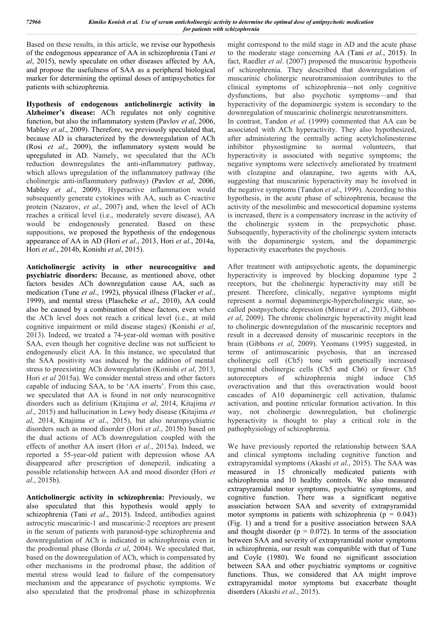Based on these results, in this article, we revise our hypothesis of the endogenous appearance of AA in schizophrenia (Tani *et al*, 2015), newly speculate on other diseases affected by AA, and propose the usefulness of SAA as a peripheral biological marker for determining the optimal doses of antipsychotics for patients with schizophrenia.

**Hypothesis of endogenous anticholinergic activity in Alzheimer's disease:** ACh regulates not only cognitive function, but also the inflammatory system (Pavlov *et al*, 2006, Mabley *et al*., 2009). Therefore, we previously speculated that, because AD is characterized by the downregulation of ACh (Rosi *et al*., 2009), the inflammatory system would be upregulated in AD. Namely, we speculated that the ACh reduction downregulates the anti-inflammatory pathway, which allows upregulation of the inflammatory pathway (the cholinergic anti-inflammatory pathway) (Pavlov *et al*, 2006, Mabley *et al*., 2009). Hyperactive inflammation would subsequently generate cytokines with AA, such as C-reactive protein (Nazarov, *et al*., 2007) and, when the level of ACh reaches a critical level (i.e., moderately severe disease), AA would be endogenously generated. Based on these suppositions, we proposed the hypothesis of the endogenous appearance of AA in AD (Hori *et al*., 2013, Hori *et al*., 2014a, Hori *et al*., 2014b, Konishi *et al*, 2015).

**Anticholinergic activity in other neurocognitive and psychiatric disorders:** Because, as mentioned above, other factors besides ACh downregulation cause AA, such as medication (Tune *et al*., 1992), physical illness (Flacker *et al*., 1999), and mental stress (Plascheke *et al*., 2010), AA could also be caused by a combination of these factors, even when the ACh level does not reach a critical level (i.e., at mild cognitive impairment or mild disease stages) (Konishi *et al*, 2013). Indeed, we treated a 74-year-old woman with positive SAA, even though her cognitive decline was not sufficient to endogenously elicit AA. In this instance, we speculated that the SAA positivity was induced by the addition of mental stress to preexisting ACh downregulation (Konishi *et al*, 2013, Hori *et al* 2015a). We consider mental stress and other factors capable of inducing SAA, to be 'AA inserts'. From this case, we speculated that AA is found in not only neurocognitive disorders such as delirium (Kitajima *et al*, 2014, Kitajima *et al*., 2015) and hallucination in Lewy body disease (Kitajima *et al*, 2014, Kitajima *et al*., 2015), but also neuropsychiatric disorders such as mood disorder (Hori *et al*., 2015b) based on the dual actions of ACh downregulation coupled with the effects of another AA insert (Hori *et al*., 2015a). Indeed, we reported a 55-year-old patient with depression whose AA disappeared after prescription of donepezil, indicating a possible relationship between AA and mood disorder (Hori *et al*., 2015b).

**Anticholinergic activity in schizophrenia:** Previously, we also speculated that this hypothesis would apply to schizophrenia (Tani *et al*., 2015). Indeed, antibodies against astrocytic muscarinic-1 and muscarinic-2 receptors are present in the serum of patients with paranoid-type schizophrenia and downregulation of ACh is indicated in schizophrenia even in the prodromal phase (Borda *et al*, 2004). We speculated that, based on the downregulation of ACh, which is compensated by other mechanisms in the prodromal phase, the addition of mental stress would lead to failure of the compensatory mechanism and the appearance of psychotic symptoms. We also speculated that the prodromal phase in schizophrenia

might correspond to the mild stage in AD and the acute phase to the moderate stage concerning AA (Tani *et al*., 2015). In fact, Raedler *et al*. (2007) proposed the muscarinic hypothesis of schizophrenia. They described that downregulation of muscarinic cholinergic neurotransmission contributes to the clinical symptoms of schizophrenia—not only cognitive dysfunctions, but also psychotic symptoms—and that hyperactivity of the dopaminergic system is secondary to the downregulation of muscarinic cholinergic neurotransmitters. In contrast, Tandon *et al*. (1999) commented that AA can be associated with ACh hyperactivity. They also hypothesized, after administering the centrally acting acetylcholinesterase inhibitor physostigmine to normal volunteers, that hyperactivity is associated with negative symptoms; the negative symptoms were selectively ameliorated by treatment with clozapine and olanzapine, two agents with AA, suggesting that muscarinic hyperactivity may be involved in the negative symptoms (Tandon *et al*., 1999). According to this hypothesis, in the acute phase of schizophrenia, because the activity of the mesolimbic and mesocortical dopamine systems is increased, there is a compensatory increase in the activity of the cholinergic system in the prepsychotic phase. Subsequently, hyperactivity of the cholinergic system interacts with the dopaminergic system, and the dopaminergic hyperactivity exacerbates the psychosis.

After treatment with antipsychotic agents, the dopaminergic hyperactivity is improved by blocking dopamine type 2 receptors, but the cholinergic hyperactivity may still be present. Therefore, clinically, negative symptoms might represent a normal dopaminergic-hypercholinergic state, socalled postpsychotic depression (Mineur *et al*., 2013, Gibbons *et al*, 2009). The chronic cholinergic hyperactivity might lead to cholinergic downregulation of the muscarinic receptors and result in a decreased density of muscarinic receptors in the brain (Gibbons *et al*, 2009). Yeomans (1995) suggested, in terms of antimuscarinic psychosis, that an increased cholinergic cell (Ch5) tone with genetically increased tegmental cholinergic cells (Ch5 and Ch6) or fewer Ch5 autoreceptors of schizophrenia might induce Ch5 overactivation and that this overactivation would boost cascades of A10 dopaminergic cell activation, thalamic activation, and pontine reticular formation activation. In this way, not cholinergic downregulation, but cholinergic hyperactivity is thought to play a critical role in the pathophysiology of schizophrenia.

We have previously reported the relationship between SAA and clinical symptoms including cognitive function and extrapyramidal symptoms (Akashi *et al*., 2015). The SAA was measured in 15 chronically medicated patients with schizophrenia and 10 healthy controls. We also measured extrapyramidal motor symptoms, psychiatric symptoms, and cognitive function. There was a significant negative association between SAA and severity of extrapyramidal motor symptoms in patients with schizophrenia ( $p = 0.043$ ) (Fig. 1) and a trend for a positive association between SAA and thought disorder ( $p = 0.072$ ). In terms of the association between SAA and severity of extrapyramidal motor symptoms in schizophrenia, our result was compatible with that of Tune and Coyle (1980). We found no significant association between SAA and other psychiatric symptoms or cognitive functions. Thus, we considered that AA might improve extrapyramidal motor symptoms but exacerbate thought disorders (Akashi *et al*., 2015).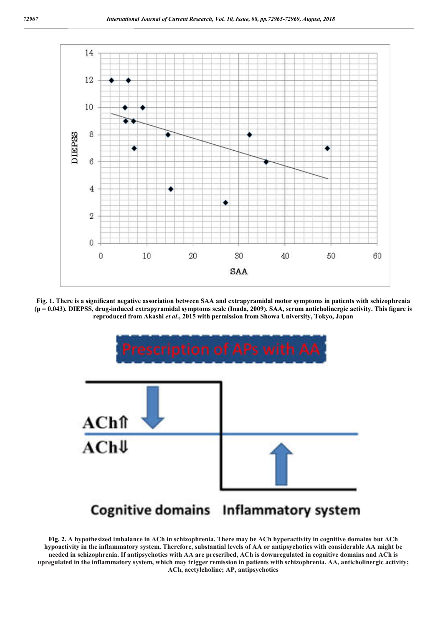

**Fig. 1. There is a significant negative association between SAA and extrapyramidal motor symptoms in patients with schizophrenia (p = 0.043). DIEPSS, drug-induced extrapyramidal symptoms scale (Inada, 2009). SAA, serum anticholinergic activity. This figure is reproduced from Akashi** *et al***., 2015 with permission from Showa University, Tokyo, Japan**



**Fig. 2. A hypothesized imbalance in ACh in schizophrenia. There may be ACh hyperactivity in cognitive domains but ACh hypoactivity in the inflammatory system. Therefore, substantial levels of AA or antipsychotics with considerable AA might be needed in schizophrenia. If antipsychotics with AA are prescribed, ACh is downregulated in cognitive domains and ACh is upregulated in the inflammatory system, which may trigger remission in patients with schizophrenia. AA, anticholinergic activity; ACh, acetylcholine; AP, antipsychotics**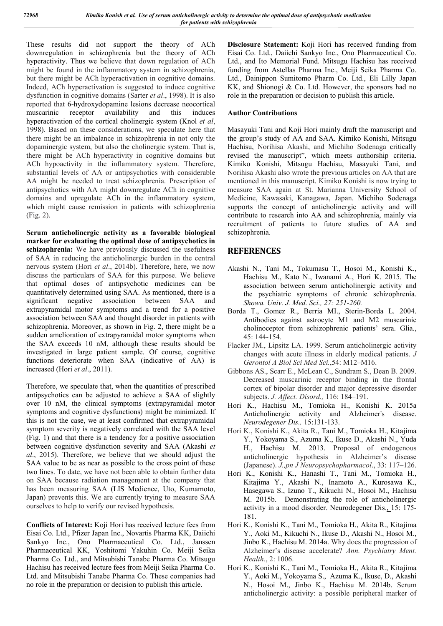These results did not support the theory of ACh downregulation in schizophrenia but the theory of ACh hyperactivity. Thus we believe that down regulation of ACh might be found in the inflammatory system in schizophrenia, but there might be ACh hyperactivation in cognitive domains. Indeed, ACh hyperactivation is suggested to induce cognitive dysfunction in cognitive domains (Sarter *et al*., 1998). It is also reported that 6-hydroxydopamine lesions decrease neocortical muscarinic receptor availability and this induces hyperactivation of the cortical cholinergic system (Knol *et al*, 1998). Based on these considerations, we speculate here that there might be an imbalance in schizophrenia in not only the dopaminergic system, but also the cholinergic system. That is, there might be ACh hyperactivity in cognitive domains but ACh hypoactivity in the inflammatory system. Therefore, substantial levels of AA or antipsychotics with considerable AA might be needed to treat schizophrenia. Prescription of antipsychotics with AA might downregulate ACh in cognitive domains and upregulate ACh in the inflammatory system, which might cause remission in patients with schizophrenia (Fig. 2).

**Serum anticholinergic activity as a favorable biological marker for evaluating the optimal dose of antipsychotics in schizophrenia:** We have previously discussed the usefulness of SAA in reducing the anticholinergic burden in the central nervous system (Hori *et al*., 2014b). Therefore, here, we now discuss the particulars of SAA for this purpose. We believe that optimal doses of antipsychotic medicines can be quantitatively determined using SAA. As mentioned, there is a significant negative association between SAA and extrapyramidal motor symptoms and a trend for a positive association between SAA and thought disorder in patients with schizophrenia. Moreover, as shown in Fig. 2, there might be a sudden amelioration of extrapyramidal motor symptoms when the SAA exceeds 10 nM, although these results should be investigated in large patient sample. Of course, cognitive functions deteriorate when SAA (indicative of AA) is increased (Hori *et al*., 2011).

Therefore, we speculate that, when the quantities of prescribed antipsychotics can be adjusted to achieve a SAA of slightly over 10 nM, the clinical symptoms (extrapyramidal motor symptoms and cognitive dysfunctions) might be minimized. If this is not the case, we at least confirmed that extrapyramidal symptom severity is negatively correlated with the SAA level (Fig. 1) and that there is a tendency for a positive association between cognitive dysfunction severity and SAA (Akashi *et al*., 2015). Therefore, we believe that we should adjust the SAA value to be as near as possible to the cross point of these two lines. To date, we have not been able to obtain further data on SAA because radiation management at the company that has been measuring SAA (LIS Medience, Uto, Kumamoto, Japan) prevents this. We are currently trying to measure SAA ourselves to help to verify our revised hypothesis.

**Conflicts of Interest:** Koji Hori has received lecture fees from Eisai Co. Ltd., Pfizer Japan Inc., Novartis Pharma KK, Daiichi Sankyo Inc., Ono Pharmaceutical Co. Ltd., Janssen Pharmaceutical KK, Yoshitomi Yakuhin Co. Meiji Seika Pharma Co. Ltd., and Mitsubishi Tanabe Pharma Co. Mitsugu Hachisu has received lecture fees from Meiji Seika Pharma Co. Ltd. and Mitsubishi Tanabe Pharma Co. These companies had no role in the preparation or decision to publish this article.

**Disclosure Statement:** Koji Hori has received funding from Eisai Co. Ltd., Daiichi Sankyo Inc., Ono Pharmaceutical Co. Ltd., and Ito Memorial Fund. Mitsugu Hachisu has received funding from Astellas Pharma Inc., Meiji Seika Pharma Co. Ltd., Dainippon Sumitomo Pharm Co. Ltd., Eli Lilly Japan KK, and Shionogi & Co. Ltd. However, the sponsors had no role in the preparation or decision to publish this article.

#### **Author Contributions**

Masayuki Tani and Koji Hori mainly draft the manuscript and the group's study of AA and SAA. Kimiko Konishi, Mitsugu Hachisu, Norihisa Akashi, and Michiho Sodenaga critically revised the manuscript", which meets authorship criteria. Kimiko Konishi, Mitsugu Hachisu, Masayuki Tani, and Norihisa Akashi also wrote the previous articles on AA that are mentioned in this manuscript. Kimiko Konishi is now trying to measure SAA again at St. Marianna University School of Medicine, Kawasaki, Kanagawa, Japan. Michiho Sodenaga supports the concept of anticholinergic activity and will contribute to research into AA and schizophrenia, mainly via recruitment of patients to future studies of AA and schizophrenia.

### **REFERENCES**

- Akashi N., Tani M., Tokumasu T., Hosoi M., Konishi K., Hachisu M., Kato N., Iwanami A., Hori K. 2015. The association between serum anticholinergic activity and the psychiatric symptoms of chronic schizophrenia. *Showa. Univ. J. Med. Sci., 27: 251-260.*
- Borda T., Gomez R., Berria MI., Sterin-Borda L. 2004. Antibodies against astrocyte M1 and M2 muscarinic cholinoceptor from schizophrenic patients' sera. Glia., 45: 144-154.
- Flacker JM., Lipsitz LA. 1999. Serum anticholinergic activity changes with acute illness in elderly medical patients. *J Gerontol A Biol Sci Med Sci.*,54: M12–M16.
- Gibbons AS., Scarr E., McLean C., Sundram S., Dean B. 2009. Decreased muscarinic receptor binding in the frontal cortex of bipolar disorder and major depressive disorder subjects. *J. Affect. Disord.,* 116: 184–191.
- Hori K., Hachisu M., Tomioka H., Konishi K. 2015a Anticholinergic activity and Alzheimer's disease. *Neurodegener Dis.,* 15:131-133.
- Hori K., Konishi K., Akita R., Tani M., Tomioka H., Kitajima Y., Yokoyama S., Azuma K., Ikuse D., Akashi N., Yuda H., Hachisu M. 2013. Proposal of endogenous anticholinergic hypothesis in Alzheimer's disease (Japanese). *J.,pn J Neuropsychopharmacol*., 33: 117–126.
- Hori K., Konishi K., Hanashi T., Tani M., Tomioka H., Kitajima Y., Akashi N., Inamoto A., Kurosawa K., Hasegawa S., Izuno T., Kikuchi N., Hosoi M., Hachisu M. 2015b. Demonstrating the role of anticholinergic activity in a mood disorder. Neurodegener Dis., 15: 175- 181.
- Hori K., Konishi K., Tani M., Tomioka H., Akita R., Kitajima Y., Aoki M., Kikuchi N., Ikuse D., Akashi N., Hosoi M., Jinbo K., Hachisu M. 2014a. Why does the progression of Alzheimer's disease accelerate? *Ann. Psychiatry Ment. Health*., 2: 1006.
- Hori K., Konishi K., Tani M., Tomioka H., Akita R., Kitajima Y., Aoki M., Yokoyama S., Azuma K., Ikuse, D., Akashi N., Hosoi M., Jinbo K., Hachisu M. 2014b. Serum anticholinergic activity: a possible peripheral marker of